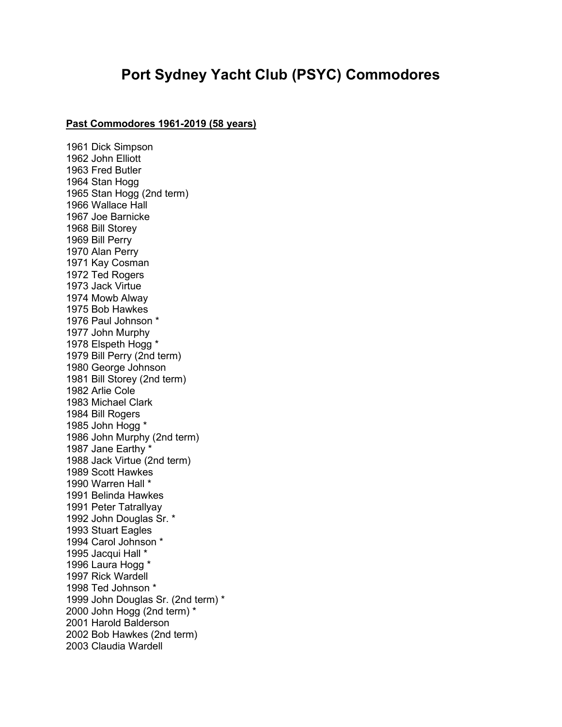## Port Sydney Yacht Club (PSYC) Commodores

## Past Commodores 1961-2019 (58 years)

1961 Dick Simpson 1962 John Elliott 1963 Fred Butler 1964 Stan Hogg 1965 Stan Hogg (2nd term) 1966 Wallace Hall 1967 Joe Barnicke 1968 Bill Storey 1969 Bill Perry 1970 Alan Perry 1971 Kay Cosman 1972 Ted Rogers 1973 Jack Virtue 1974 Mowb Alway 1975 Bob Hawkes 1976 Paul Johnson \* 1977 John Murphy 1978 Elspeth Hogg \* 1979 Bill Perry (2nd term) 1980 George Johnson 1981 Bill Storey (2nd term) 1982 Arlie Cole 1983 Michael Clark 1984 Bill Rogers 1985 John Hogg \* 1986 John Murphy (2nd term) 1987 Jane Earthy \* 1988 Jack Virtue (2nd term) 1989 Scott Hawkes 1990 Warren Hall \* 1991 Belinda Hawkes 1991 Peter Tatrallyay 1992 John Douglas Sr. \* 1993 Stuart Eagles 1994 Carol Johnson \* 1995 Jacqui Hall \* 1996 Laura Hogg \* 1997 Rick Wardell 1998 Ted Johnson \* 1999 John Douglas Sr. (2nd term) \* 2000 John Hogg (2nd term) \* 2001 Harold Balderson 2002 Bob Hawkes (2nd term) 2003 Claudia Wardell